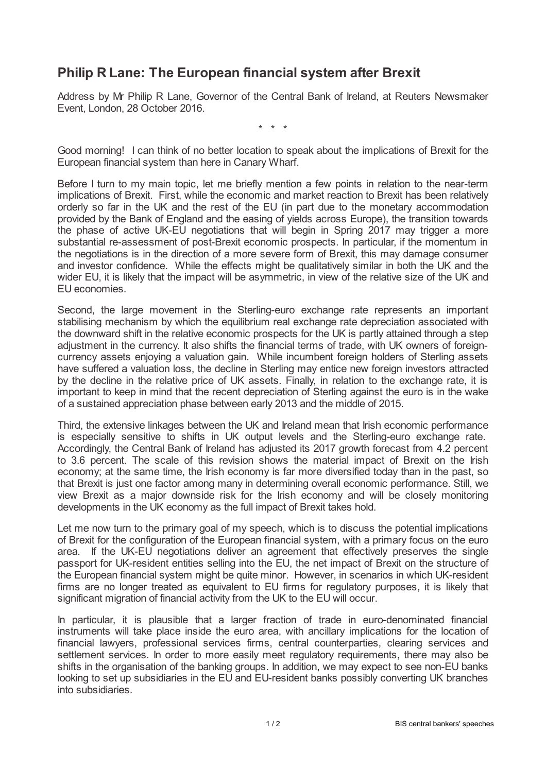## **Philip R Lane: The European financial system after Brexit**

Address by Mr Philip R Lane, Governor of the Central Bank of Ireland, at Reuters Newsmaker Event, London, 28 October 2016.

\* \* \*

Good morning! I can think of no better location to speak about the implications of Brexit for the European financial system than here in Canary Wharf.

Before I turn to my main topic, let me briefly mention a few points in relation to the near-term implications of Brexit. First, while the economic and market reaction to Brexit has been relatively orderly so far in the UK and the rest of the EU (in part due to the monetary accommodation provided by the Bank of England and the easing of yields across Europe), the transition towards the phase of active UK-EU negotiations that will begin in Spring 2017 may trigger a more substantial re-assessment of post-Brexit economic prospects. In particular, if the momentum in the negotiations is in the direction of a more severe form of Brexit, this may damage consumer and investor confidence. While the effects might be qualitatively similar in both the UK and the wider EU, it is likely that the impact will be asymmetric, in view of the relative size of the UK and EU economies.

Second, the large movement in the Sterling-euro exchange rate represents an important stabilising mechanism by which the equilibrium real exchange rate depreciation associated with the downward shift in the relative economic prospects for the UK is partly attained through a step adjustment in the currency. It also shifts the financial terms of trade, with UK owners of foreigncurrency assets enjoying a valuation gain. While incumbent foreign holders of Sterling assets have suffered a valuation loss, the decline in Sterling may entice new foreign investors attracted by the decline in the relative price of UK assets. Finally, in relation to the exchange rate, it is important to keep in mind that the recent depreciation of Sterling against the euro is in the wake of a sustained appreciation phase between early 2013 and the middle of 2015.

Third, the extensive linkages between the UK and Ireland mean that Irish economic performance is especially sensitive to shifts in UK output levels and the Sterling-euro exchange rate. Accordingly, the Central Bank of Ireland has adjusted its 2017 growth forecast from 4.2 percent to 3.6 percent. The scale of this revision shows the material impact of Brexit on the Irish economy; at the same time, the Irish economy is far more diversified today than in the past, so that Brexit is just one factor among many in determining overall economic performance. Still, we view Brexit as a major downside risk for the Irish economy and will be closely monitoring developments in the UK economy as the full impact of Brexit takes hold.

Let me now turn to the primary goal of my speech, which is to discuss the potential implications of Brexit for the configuration of the European financial system, with a primary focus on the euro area. If the UK-EU negotiations deliver an agreement that effectively preserves the single passport for UK-resident entities selling into the EU, the net impact of Brexit on the structure of the European financial system might be quite minor. However, in scenarios in which UK-resident firms are no longer treated as equivalent to EU firms for regulatory purposes, it is likely that significant migration of financial activity from the UK to the EU will occur.

In particular, it is plausible that a larger fraction of trade in euro-denominated financial instruments will take place inside the euro area, with ancillary implications for the location of financial lawyers, professional services firms, central counterparties, clearing services and settlement services. In order to more easily meet regulatory requirements, there may also be shifts in the organisation of the banking groups. In addition, we may expect to see non-EU banks looking to set up subsidiaries in the EU and EU-resident banks possibly converting UK branches into subsidiaries.